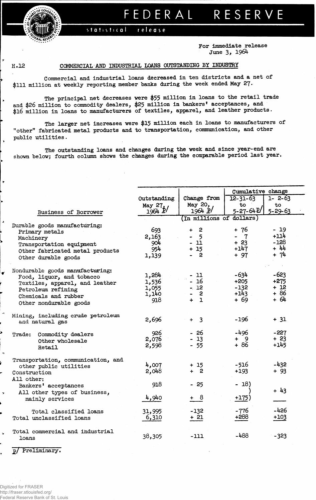## FEDERAL RESERVE

statistical release

> **For Immediate release June 3, 1964**

## **H.12 COMMERCIAL AMD INDUSTRIAL LOANS OUTSTANDING BY INDUSTRY**

**Commercial and industrial loans decreased in ten districts and a net of \$111 million at weekly reporting member banks during the week ended May** *2f.*

**The principal net decreases were \$55 million in loans to the retail trade and \$26 million to commodity dealers, \$25 million in bankers\* acceptances, and \$16 million in loans to manufacturers of textiles, apparel, and leather products.**

**The larger net increases were \$15 million each in loans to manufacturers of "other" fabricated metal products and to transportation, communication, and other public utilities.**

**The outstanding loans and changes during the week and since year-end are shown below; fourth column shows the changes during the comparable period last year,**

|                                             |                          |                            | Cumulative change                       |                |  |  |  |  |
|---------------------------------------------|--------------------------|----------------------------|-----------------------------------------|----------------|--|--|--|--|
|                                             | Outstanding              | Change from                | $12 - 31 - 63$<br>$1 - 2 - 63$          |                |  |  |  |  |
|                                             | May 27, /                | May 20,                    | to                                      | to.            |  |  |  |  |
| Business of Borrower                        | 1964 P                   | 1964 P/                    | 5-27-64P/                               | $5 - 29 - 63$  |  |  |  |  |
|                                             | (In millions of dollars) |                            |                                         |                |  |  |  |  |
| Durable goods manufacturing:                |                          |                            |                                         |                |  |  |  |  |
| Primary metals                              | 693                      | $\mathbf{2}$               | + 76                                    | - 19<br>$+114$ |  |  |  |  |
| Machinery                                   | 2,163                    | $-5$<br>$\blacksquare$     | $\mathbf{7}$<br>$\blacksquare$<br>$+23$ | $-128$         |  |  |  |  |
| Transportation equipment                    | 904<br>954               | $-11$<br>$+15$             | $+147$                                  | $+ 44$         |  |  |  |  |
| Other fabricated metal products             | 1,139                    | $\overline{a}$             | $+97$                                   | $+ 74$         |  |  |  |  |
| Other durable goods                         |                          |                            |                                         |                |  |  |  |  |
| Nondurable goods manufacturing:             |                          |                            |                                         |                |  |  |  |  |
| Food, liquor, and tobacco                   | 1,284                    | - 11                       | -634                                    | $-623$         |  |  |  |  |
| Textiles, apparel, and leather              | 1,536                    | $-16$                      | $+205$                                  | $+275$         |  |  |  |  |
| Petroleum refining                          | 1,055                    | $-12$                      | $-132$                                  | $+12$          |  |  |  |  |
| Chemicals and rubber                        | 1,140                    | $\overline{\mathbf{2}}$    | $+143$                                  | $+86$          |  |  |  |  |
| Other nondurable goods                      | 918                      | $\ddot{+}$<br>$\mathbf{1}$ | $+69$                                   | $+64$          |  |  |  |  |
|                                             |                          |                            |                                         |                |  |  |  |  |
| Mining, including crude petroleum           |                          |                            |                                         |                |  |  |  |  |
| and natural gas                             | 2,696                    | $+ 3$                      | $-196$                                  | $+ 31$         |  |  |  |  |
|                                             | 926                      | $-26$                      | $-496$                                  | $-227$         |  |  |  |  |
| Trade: Commodity dealers<br>Other wholesale | 2,076                    | $-13$                      | $+ 9$                                   | $+23$          |  |  |  |  |
| Retail                                      | 2,598                    | $-55$                      | $+86$                                   | $+145$         |  |  |  |  |
|                                             |                          |                            |                                         |                |  |  |  |  |
| Transportation, communication, and          |                          |                            |                                         |                |  |  |  |  |
| other public utilities                      | 4,007                    | $+15$                      | $-516$                                  | $-432$         |  |  |  |  |
| Construction                                | 2,048                    | $+2$                       | $+193$                                  | $+93$          |  |  |  |  |
| All other:                                  |                          |                            |                                         |                |  |  |  |  |
| Bankers' acceptances                        | 918                      | $-25$                      | $-18)$                                  |                |  |  |  |  |
| All other types of business,                |                          |                            |                                         | $+43$          |  |  |  |  |
| mainly services                             | 4,940                    | + 8                        | $+175)$                                 |                |  |  |  |  |
| Total classified loans                      | 31,995                   | $-132 -$                   | -776                                    | $-426$         |  |  |  |  |
| Total unclassified loans                    | 6,310                    | $+21$                      | +288                                    | $+103$         |  |  |  |  |
|                                             |                          |                            |                                         |                |  |  |  |  |
| Total commercial and industrial             |                          |                            |                                         |                |  |  |  |  |
| loans                                       | 38,305                   | $-111$                     | -488                                    | $-323$         |  |  |  |  |
|                                             |                          |                            |                                         |                |  |  |  |  |

**2/ Preliminary!**

د